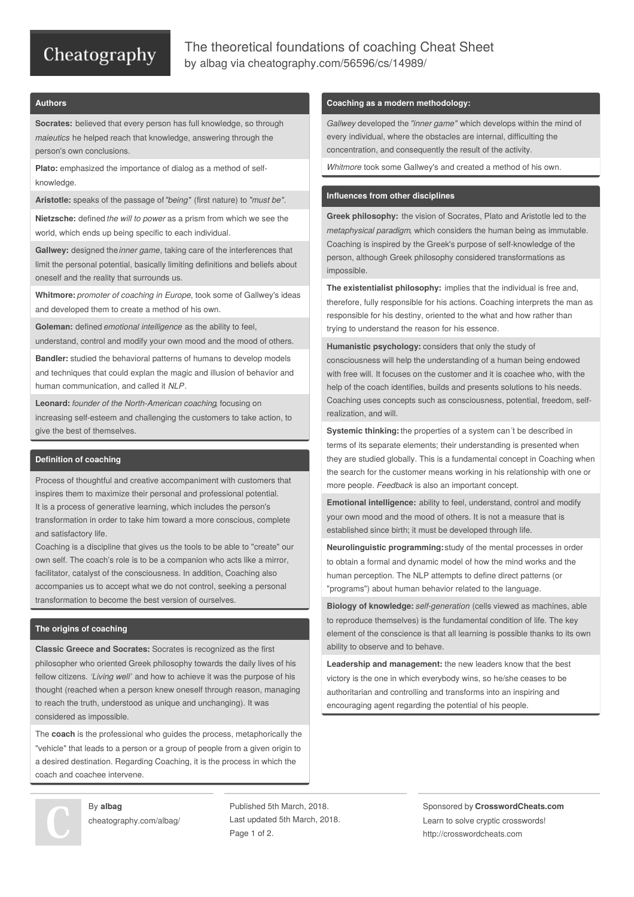## Cheatography

### The theoretical foundations of coaching Cheat Sheet by [albag](http://www.cheatography.com/albag/) via [cheatography.com/56596/cs/14989/](http://www.cheatography.com/albag/cheat-sheets/the-theoretical-foundations-of-coaching)

#### **Authors**

**Socrates:** believed that every person has full knowledge, so through *maieutics* he helped reach that knowledge, answering through the person's own conclusions.

**Plato:** emphasized the importance of dialog as a method of selfknowledge.

**Aristotle:** speaks of the passage of*"being"* (first nature) to *"must be"*.

**Nietzsche:** defined *the will to power* as a prism from which we see the world, which ends up being specific to each individual.

**Gallwey:** designed the *inner game*, taking care of the interferences that limit the personal potential, basically limiting definitions and beliefs about oneself and the reality that surrounds us.

**Whitmore:** *promoter of coaching in Europe*, took some of Gallwey's ideas and developed them to create a method of his own.

**Goleman:** defined *emotional intelligence* as the ability to feel, understand, control and modify your own mood and the mood of others.

**Bandler:** studied the behavioral patterns of humans to develop models and techniques that could explan the magic and illusion of behavior and human communication, and called it *NLP*.

**Leonard:** *founder of the North-American coaching*, focusing on increasing self-esteem and challenging the customers to take action, to give the best of themselves.

#### **Definition of coaching**

Process of thoughtful and creative accompaniment with customers that inspires them to maximize their personal and professional potential. It is a process of generative learning, which includes the person's transformation in order to take him toward a more conscious, complete and satisfactory life.

Coaching is a discipline that gives us the tools to be able to "create" our own self. The coach's role is to be a companion who acts like a mirror, facilitator, catalyst of the consciousness. In addition, Coaching also accompanies us to accept what we do not control, seeking a personal transformation to become the best version of ourselves.

#### **The origins of coaching**

**Classic Greece and Socrates:** Socrates is recognized as the first philosopher who oriented Greek philosophy towards the daily lives of his fellow citizens. *'Living well'* and how to achieve it was the purpose of his thought (reached when a person knew oneself through reason, managing to reach the truth, understood as unique and unchanging). It was considered as impossible.

The **coach** is the professional who guides the process, metaphorically the "vehicle" that leads to a person or a group of people from a given origin to a desired destination. Regarding Coaching, it is the process in which the coach and coachee intervene.

By **albag** [cheatography.com/albag/](http://www.cheatography.com/albag/)

Published 5th March, 2018. Last updated 5th March, 2018. Page 1 of 2.

#### **Coaching as a modern methodology:**

*Gallwey* developed the *"inner game"* which develops within the mind of every individual, where the obstacles are internal, difficulting the concentration, and consequently the result of the activity.

*Whitmore* took some Gallwey's and created a method of his own.

#### **Influences from other disciplines**

**Greek philosophy:** the vision of Socrates, Plato and Aristotle led to the *metaphysical paradigm*, which considers the human being as immutable. Coaching is inspired by the Greek's purpose of self-knowledge of the person, although Greek philosophy considered transformations as impossible.

**The existentialist philosophy:** implies that the individual is free and, therefore, fully responsible for his actions. Coaching interprets the man as responsible for his destiny, oriented to the what and how rather than trying to understand the reason for his essence.

**Humanistic psychology:** considers that only the study of consciousness will help the understanding of a human being endowed with free will. It focuses on the customer and it is coachee who, with the help of the coach identifies, builds and presents solutions to his needs. Coaching uses concepts such as consciousness, potential, freedom, selfrealization, and will.

**Systemic thinking:**the properties of a system can´t be described in terms of its separate elements; their understanding is presented when they are studied globally. This is a fundamental concept in Coaching when the search for the customer means working in his relationship with one or more people. *Feedback* is also an important concept.

**Emotional intelligence:** ability to feel, understand, control and modify your own mood and the mood of others. It is not a measure that is established since birth; it must be developed through life.

**Neurolinguistic programming:**study of the mental processes in order to obtain a formal and dynamic model of how the mind works and the human perception. The NLP attempts to define direct patterns (or "programs") about human behavior related to the language.

**Biology of knowledge:** *self-generation* (cells viewed as machines, able to reproduce themselves) is the fundamental condition of life. The key element of the conscience is that all learning is possible thanks to its own ability to observe and to behave.

**Leadership and management:** the new leaders know that the best victory is the one in which everybody wins, so he/she ceases to be authoritarian and controlling and transforms into an inspiring and encouraging agent regarding the potential of his people.

> Sponsored by **CrosswordCheats.com** Learn to solve cryptic crosswords! <http://crosswordcheats.com>